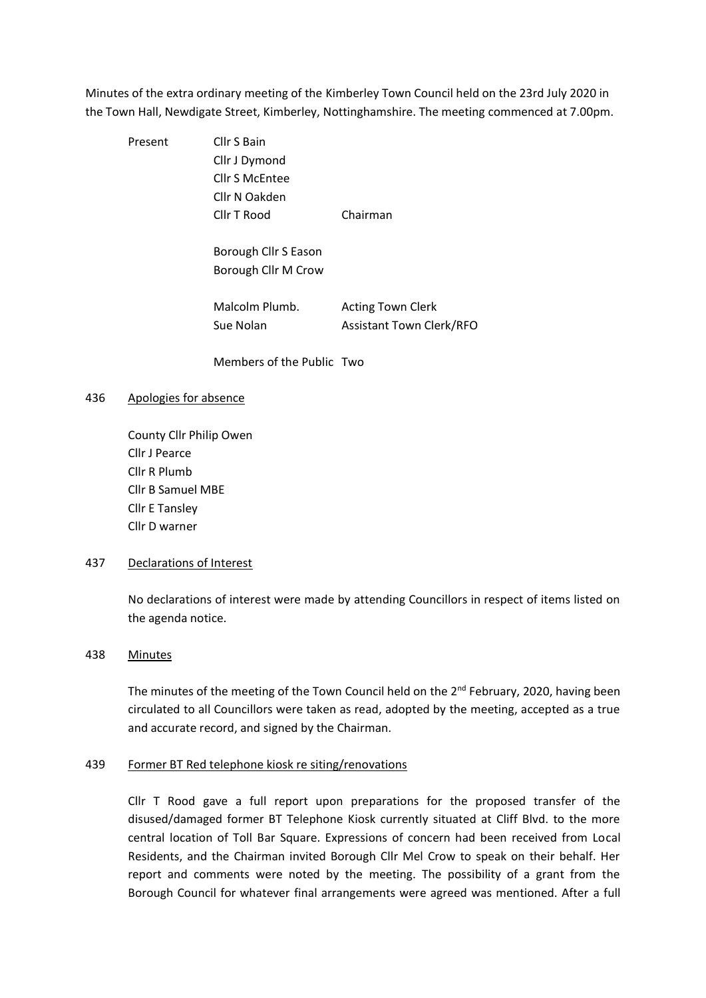Minutes of the extra ordinary meeting of the Kimberley Town Council held on the 23rd July 2020 in the Town Hall, Newdigate Street, Kimberley, Nottinghamshire. The meeting commenced at 7.00pm.

Present Cllr S Bain Cllr J Dymond Cllr S McEntee Cllr N Oakden Cllr T Rood Chairman Borough Cllr S Eason Borough Cllr M Crow Malcolm Plumb. Acting Town Clerk Sue Nolan **Assistant Town Clerk/RFO** 

Members of the Public Two

### 436 Apologies for absence

County Cllr Philip Owen Cllr J Pearce Cllr R Plumb Cllr B Samuel MBE Cllr E Tansley Cllr D warner

#### 437 Declarations of Interest

No declarations of interest were made by attending Councillors in respect of items listed on the agenda notice.

# 438 Minutes

The minutes of the meeting of the Town Council held on the 2<sup>nd</sup> February, 2020, having been circulated to all Councillors were taken as read, adopted by the meeting, accepted as a true and accurate record, and signed by the Chairman.

#### 439 Former BT Red telephone kiosk re siting/renovations

Cllr T Rood gave a full report upon preparations for the proposed transfer of the disused/damaged former BT Telephone Kiosk currently situated at Cliff Blvd. to the more central location of Toll Bar Square. Expressions of concern had been received from Local Residents, and the Chairman invited Borough Cllr Mel Crow to speak on their behalf. Her report and comments were noted by the meeting. The possibility of a grant from the Borough Council for whatever final arrangements were agreed was mentioned. After a full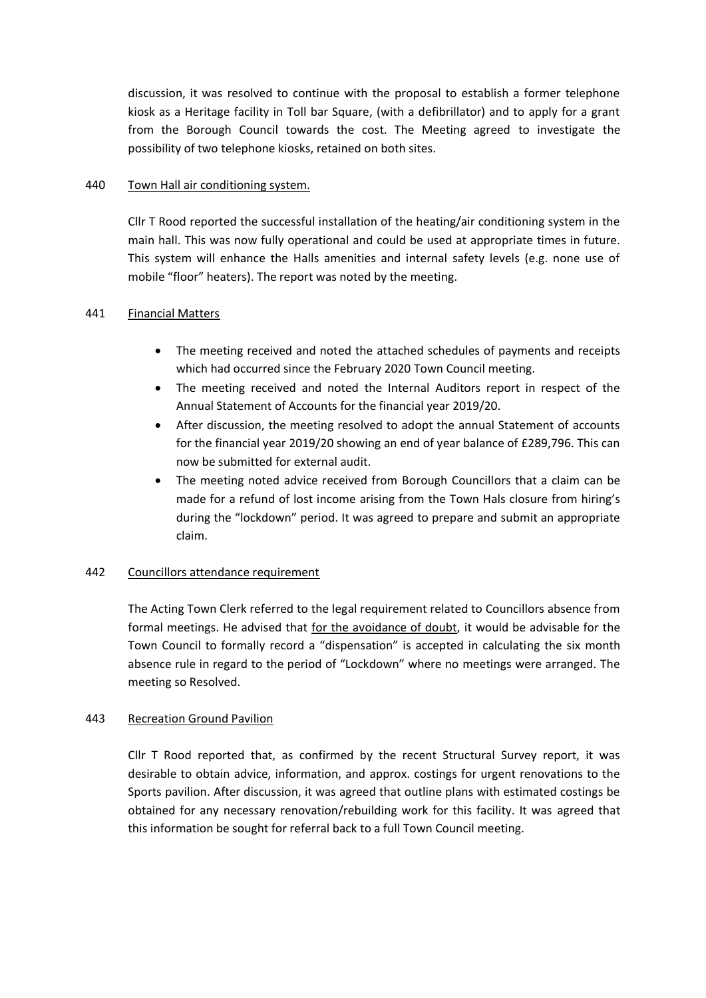discussion, it was resolved to continue with the proposal to establish a former telephone kiosk as a Heritage facility in Toll bar Square, (with a defibrillator) and to apply for a grant from the Borough Council towards the cost. The Meeting agreed to investigate the possibility of two telephone kiosks, retained on both sites.

## 440 Town Hall air conditioning system.

Cllr T Rood reported the successful installation of the heating/air conditioning system in the main hall. This was now fully operational and could be used at appropriate times in future. This system will enhance the Halls amenities and internal safety levels (e.g. none use of mobile "floor" heaters). The report was noted by the meeting.

# 441 Financial Matters

- The meeting received and noted the attached schedules of payments and receipts which had occurred since the February 2020 Town Council meeting.
- The meeting received and noted the Internal Auditors report in respect of the Annual Statement of Accounts for the financial year 2019/20.
- After discussion, the meeting resolved to adopt the annual Statement of accounts for the financial year 2019/20 showing an end of year balance of £289,796. This can now be submitted for external audit.
- The meeting noted advice received from Borough Councillors that a claim can be made for a refund of lost income arising from the Town Hals closure from hiring's during the "lockdown" period. It was agreed to prepare and submit an appropriate claim.

# 442 Councillors attendance requirement

The Acting Town Clerk referred to the legal requirement related to Councillors absence from formal meetings. He advised that for the avoidance of doubt, it would be advisable for the Town Council to formally record a "dispensation" is accepted in calculating the six month absence rule in regard to the period of "Lockdown" where no meetings were arranged. The meeting so Resolved.

# 443 Recreation Ground Pavilion

Cllr T Rood reported that, as confirmed by the recent Structural Survey report, it was desirable to obtain advice, information, and approx. costings for urgent renovations to the Sports pavilion. After discussion, it was agreed that outline plans with estimated costings be obtained for any necessary renovation/rebuilding work for this facility. It was agreed that this information be sought for referral back to a full Town Council meeting.